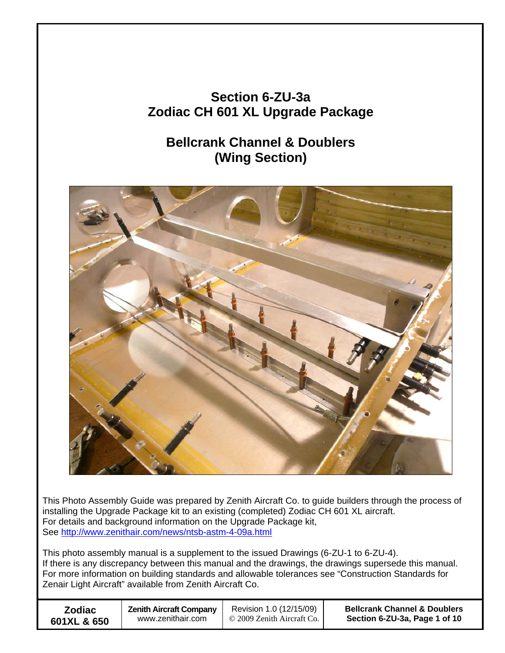## **Section 6-ZU-3a Zodiac CH 601 XL Upgrade Package**

## **Bellcrank Channel & Doublers (Wing Section)**



This Photo Assembly Guide was prepared by Zenith Aircraft Co. to guide builders through the process of installing the Upgrade Package kit to an existing (completed) Zodiac CH 601 XL aircraft. For details and background information on the Upgrade Package kit, See http://www.zenithair.com/news/ntsb-astm-4-09a.html

This photo assembly manual is a supplement to the issued Drawings (6-ZU-1 to 6-ZU-4). If there is any discrepancy between this manual and the drawings, the drawings supersede this manual. For more information on building standards and allowable tolerances see "Construction Standards for Zenair Light Aircraft" available from Zenith Aircraft Co.

| <b>Zodiac</b> | <b>Zenith Aircraft Company</b> | Revision 1.0 (12/15/09)      | <b>Bellcrank Channel &amp; Doublers</b> |
|---------------|--------------------------------|------------------------------|-----------------------------------------|
| 601XL & 650   | www.zenithair.com              | © 2009 Zenith Aircraft Co. 1 | Section 6-ZU-3a, Page 1 of 10           |
|               |                                |                              |                                         |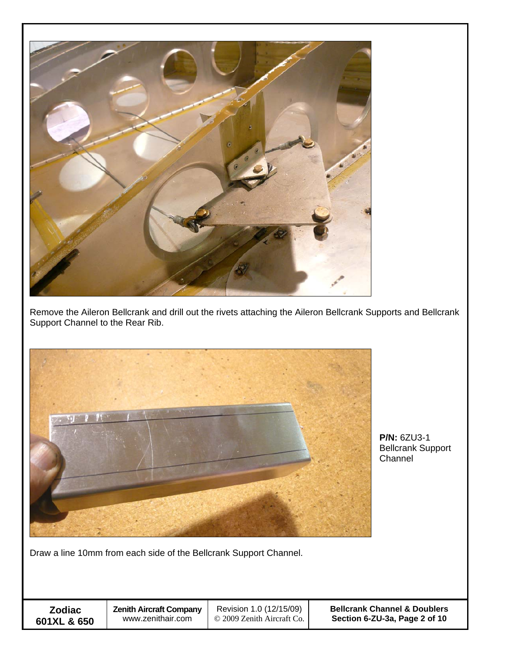

Remove the Aileron Bellcrank and drill out the rivets attaching the Aileron Bellcrank Supports and Bellcrank Support Channel to the Rear Rib.



**P/N:** 6ZU3-1 Bellcrank Support **Channel** 

Draw a line 10mm from each side of the Bellcrank Support Channel.

 **Zodiac 601XL & 650**  **Bellcrank Channel & Doublers Section 6-ZU-3a, Page 2 of 10**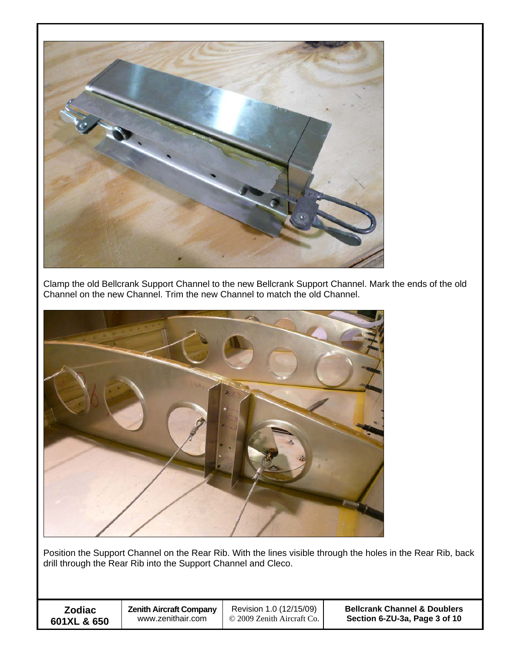

Clamp the old Bellcrank Support Channel to the new Bellcrank Support Channel. Mark the ends of the old Channel on the new Channel. Trim the new Channel to match the old Channel.



Position the Support Channel on the Rear Rib. With the lines visible through the holes in the Rear Rib, back drill through the Rear Rib into the Support Channel and Cleco.

 **Zodiac 601XL & 650**  **Bellcrank Channel & Doublers Section 6-ZU-3a, Page 3 of 10**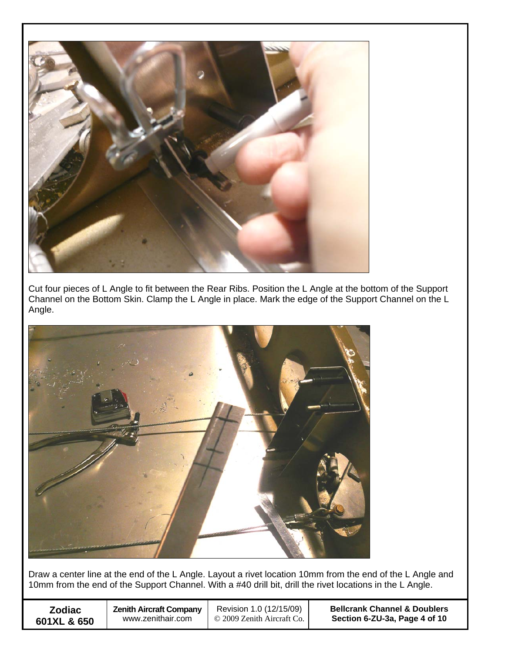

Cut four pieces of L Angle to fit between the Rear Ribs. Position the L Angle at the bottom of the Support Channel on the Bottom Skin. Clamp the L Angle in place. Mark the edge of the Support Channel on the L Angle.



Draw a center line at the end of the L Angle. Layout a rivet location 10mm from the end of the L Angle and 10mm from the end of the Support Channel. With a #40 drill bit, drill the rivet locations in the L Angle.

| <b>Zodiac</b> | <b>Zenith Aircraft Company</b> | Revision 1.0 (12/15/09)    | <b>Bellcrank Channel &amp; Doublers</b> |
|---------------|--------------------------------|----------------------------|-----------------------------------------|
| 601XL & 650   | www.zenithair.com              | © 2009 Zenith Aircraft Co. | Section 6-ZU-3a, Page 4 of 10           |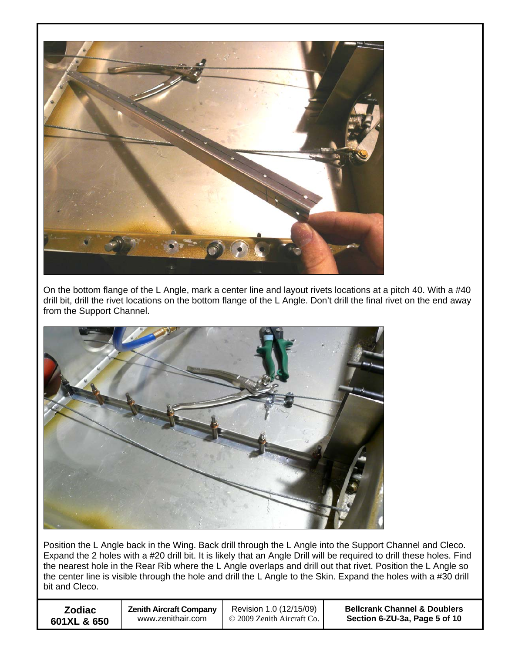

On the bottom flange of the L Angle, mark a center line and layout rivets locations at a pitch 40. With a #40 drill bit, drill the rivet locations on the bottom flange of the L Angle. Don't drill the final rivet on the end away from the Support Channel.



Position the L Angle back in the Wing. Back drill through the L Angle into the Support Channel and Cleco. Expand the 2 holes with a #20 drill bit. It is likely that an Angle Drill will be required to drill these holes. Find the nearest hole in the Rear Rib where the L Angle overlaps and drill out that rivet. Position the L Angle so the center line is visible through the hole and drill the L Angle to the Skin. Expand the holes with a #30 drill bit and Cleco.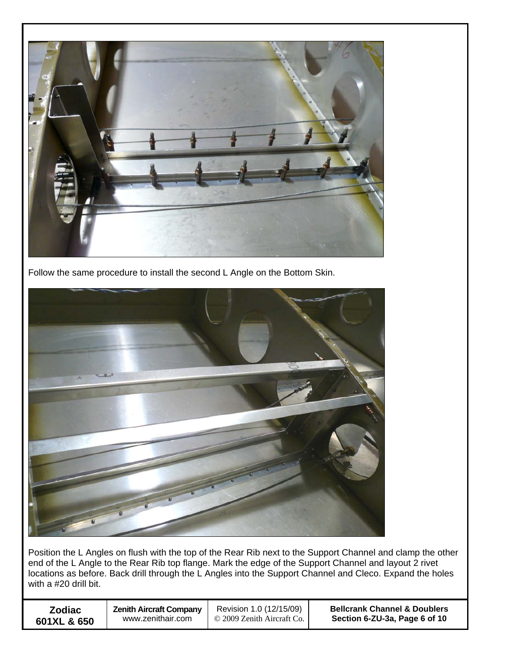

Follow the same procedure to install the second L Angle on the Bottom Skin.



Position the L Angles on flush with the top of the Rear Rib next to the Support Channel and clamp the other end of the L Angle to the Rear Rib top flange. Mark the edge of the Support Channel and layout 2 rivet locations as before. Back drill through the L Angles into the Support Channel and Cleco. Expand the holes with a #20 drill bit.

| <b>Zodiac</b> | <b>Zenith Aircraft Company</b> | Revision 1.0 (12/15/09)    | <b>Bellcrank Channel &amp; Doublers</b> |
|---------------|--------------------------------|----------------------------|-----------------------------------------|
| 601XL & 650   | www.zenithair.com              | © 2009 Zenith Aircraft Co. | Section 6-ZU-3a, Page 6 of 10           |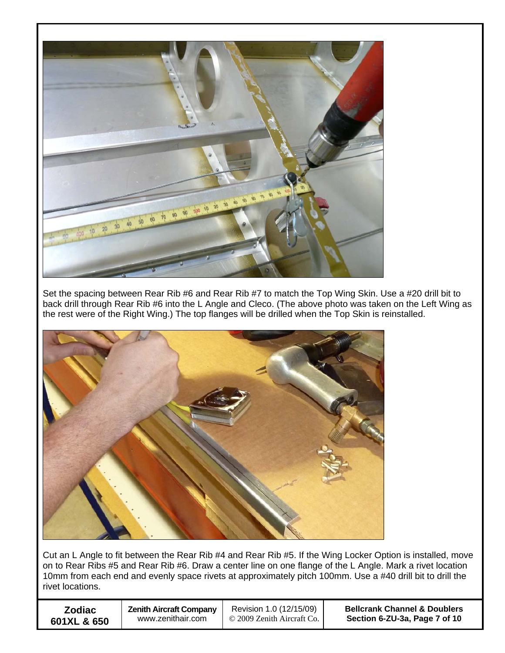

Set the spacing between Rear Rib #6 and Rear Rib #7 to match the Top Wing Skin. Use a #20 drill bit to back drill through Rear Rib #6 into the L Angle and Cleco. (The above photo was taken on the Left Wing as the rest were of the Right Wing.) The top flanges will be drilled when the Top Skin is reinstalled.



Cut an L Angle to fit between the Rear Rib #4 and Rear Rib #5. If the Wing Locker Option is installed, move on to Rear Ribs #5 and Rear Rib #6. Draw a center line on one flange of the L Angle. Mark a rivet location 10mm from each end and evenly space rivets at approximately pitch 100mm. Use a #40 drill bit to drill the rivet locations.

| <b>Zodiac</b> | <b>Zenith Aircraft Company</b> | Revision 1.0 (12/15/09)    | <b>Bellcrank Channel &amp; Doublers</b> |
|---------------|--------------------------------|----------------------------|-----------------------------------------|
| 601XL & 650   | www.zenithair.com              | © 2009 Zenith Aircraft Co. | Section 6-ZU-3a, Page 7 of 10           |
|               |                                |                            |                                         |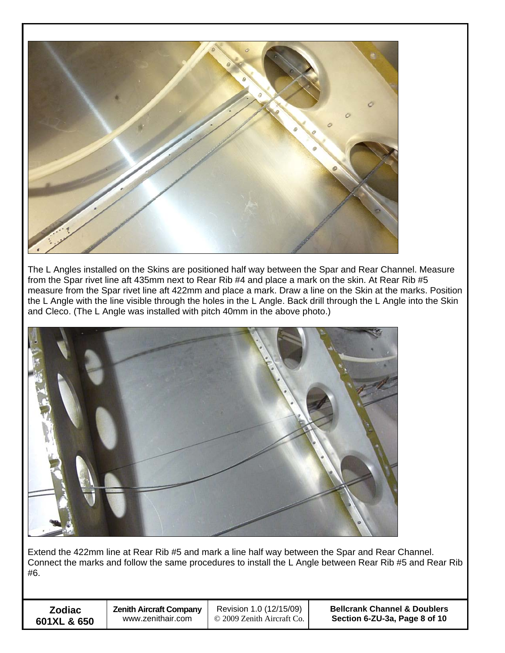

The L Angles installed on the Skins are positioned half way between the Spar and Rear Channel. Measure from the Spar rivet line aft 435mm next to Rear Rib #4 and place a mark on the skin. At Rear Rib #5 measure from the Spar rivet line aft 422mm and place a mark. Draw a line on the Skin at the marks. Position the L Angle with the line visible through the holes in the L Angle. Back drill through the L Angle into the Skin and Cleco. (The L Angle was installed with pitch 40mm in the above photo.)



Extend the 422mm line at Rear Rib #5 and mark a line half way between the Spar and Rear Channel. Connect the marks and follow the same procedures to install the L Angle between Rear Rib #5 and Rear Rib #6.

| <b>Zodiac</b> |  |  |  |
|---------------|--|--|--|
| 601XL & 650   |  |  |  |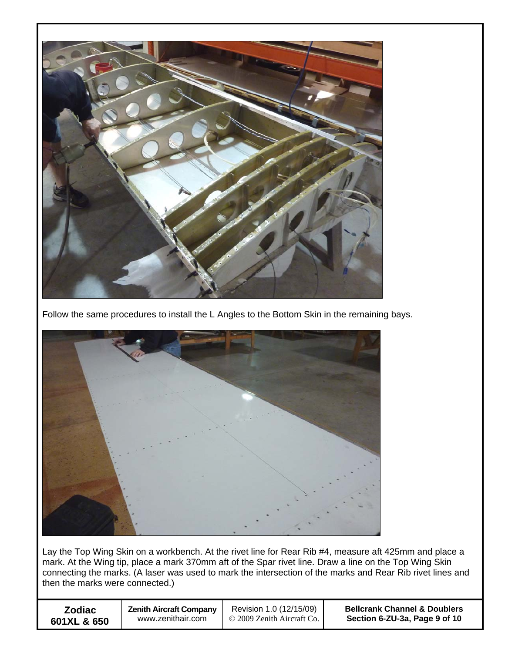

Follow the same procedures to install the L Angles to the Bottom Skin in the remaining bays.



Lay the Top Wing Skin on a workbench. At the rivet line for Rear Rib #4, measure aft 425mm and place a mark. At the Wing tip, place a mark 370mm aft of the Spar rivet line. Draw a line on the Top Wing Skin connecting the marks. (A laser was used to mark the intersection of the marks and Rear Rib rivet lines and then the marks were connected.)

| <b>Zodiac</b> | <b>Zenith Aircraft Company</b> | Revision 1.0 (12/15/09)    | <b>Bellcrank Channel &amp; Doublers</b> |
|---------------|--------------------------------|----------------------------|-----------------------------------------|
| 601XL & 650   | www.zenithair.com              | © 2009 Zenith Aircraft Co. | Section 6-ZU-3a, Page 9 of 10           |